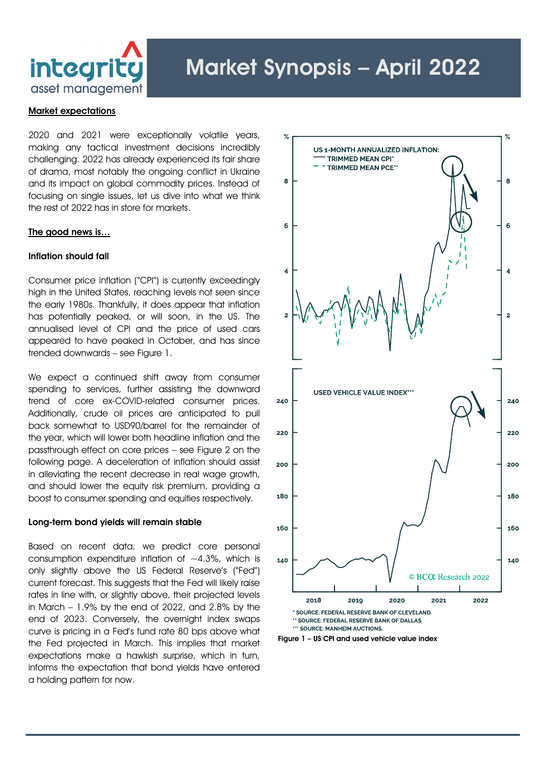

### Market expectations

2020 and 2021 were exceptionally volatile years, making any tactical investment decisions incredibly challenging. 2022 has already experienced its fair share of drama, most notably the ongoing conflict in Ukraine and its impact on global commodity prices. Instead of focusing on single issues, let us dive into what we think the rest of 2022 has in store for markets.

#### The good news is…

### Inflation should fall

Consumer price inflation ("CPI") is currently exceedingly high in the United States, reaching levels not seen since the early 1980s. Thankfully, it does appear that inflation has potentially peaked, or will soon, in the US. The annualised level of CPI and the price of used cars appeared to have peaked in October, and has since trended downwards – see Figure 1.

We expect a continued shift away from consumer spending to services, further assisting the downward trend of core ex-COVID-related consumer prices. Additionally, crude oil prices are anticipated to pull back somewhat to USD90/barrel for the remainder of the year, which will lower both headline inflation and the passthrough effect on core prices – see Figure 2 on the following page. A deceleration of inflation should assist in alleviating the recent decrease in real wage growth, and should lower the equity risk premium, providing a boost to consumer spending and equities respectively.

### Long-term bond yields will remain stable

Based on recent data, we predict core personal consumption expenditure inflation of  $\sim$ 4.3%, which is only slightly above the US Federal Reserve's ("Fed") current forecast. This suggests that the Fed will likely raise rates in line with, or slightly above, their projected levels in March – 1.9% by the end of 2022, and 2.8% by the end of 2023. Conversely, the overnight index swaps curve is pricing in a Fed's fund rate 80 bps above what the Fed projected in March. This implies that market expectations make a hawkish surprise, which in turn, informs the expectation that bond yields have entered a holding pattern for now.



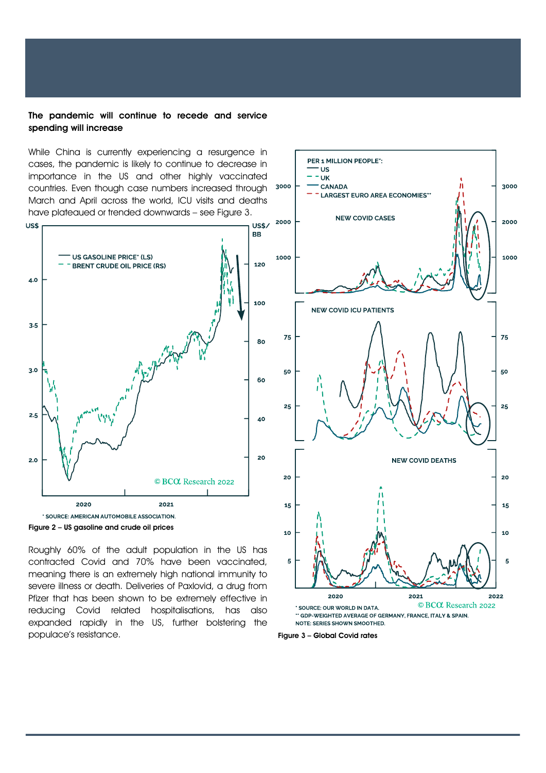### The pandemic will continue to recede and service spending will increase

While China is currently experiencing a resurgence in cases, the pandemic is likely to continue to decrease in importance in the US and other highly vaccinated countries. Even though case numbers increased through March and April across the world, ICU visits and deaths have plateaued or trended downwards – see Figure 3.





Roughly 60% of the adult population in the US has contracted Covid and 70% have been vaccinated, meaning there is an extremely high national immunity to severe illness or death. Deliveries of Paxlovid, a drug from Pfizer that has been shown to be extremely effective in reducing Covid related hospitalisations, has also expanded rapidly in the US, further bolstering the populace's resistance. The state of the state of the Figure 3 – Global Covid rates

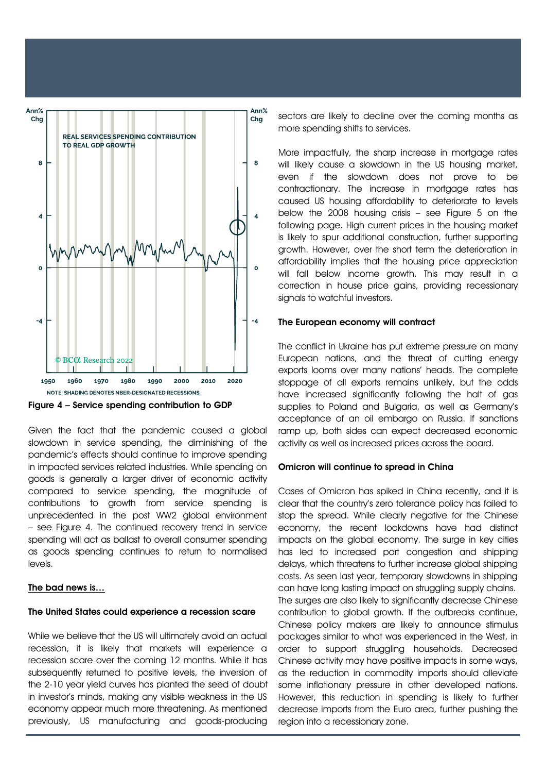

Figure 4 – Service spending contribution to GDP

as goods spending continues to return to normalised Given the fact that the pandemic caused a global slowdown in service spending, the diminishing of the pandemic's effects should continue to improve spending in impacted services related industries. While spending on goods is generally a larger driver of economic activity compared to service spending, the magnitude of contributions to growth from service spending is unprecedented in the post WW2 global environment – see Figure 4. The continued recovery trend in service spending will act as ballast to overall consumer spending levels.

#### The bad news is…

# The United States could experience a recession scare

While we believe that the US will ultimately avoid an actual recession, it is likely that markets will experience a recession scare over the coming 12 months. While it has subsequently returned to positive levels, the inversion of the 2-10 year yield curves has planted the seed of doubt in investor's minds, making any visible weakness in the US economy appear much more threatening. As mentioned previously, US manufacturing and goods-producing

sectors are likely to decline over the coming months as more spending shifts to services.

More impactfully, the sharp increase in mortagae rates will likely cause a slowdown in the US housing market, even if the slowdown does not prove to be contractionary. The increase in mortgage rates has caused US housing affordability to deteriorate to levels below the 2008 housing crisis – see Figure 5 on the following page. High current prices in the housing market is likely to spur additional construction, further supporting growth. However, over the short term the deterioration in affordability implies that the housing price appreciation will fall below income growth. This may result in a correction in house price gains, providing recessionary signals to watchful investors.

## The European economy will contract

The conflict in Ukraine has put extreme pressure on many European nations, and the threat of cutting energy exports looms over many nations' heads. The complete stoppage of all exports remains unlikely, but the odds have increased significantly following the halt of gas supplies to Poland and Bulgaria, as well as Germany's acceptance of an oil embargo on Russia. If sanctions ramp up, both sides can expect decreased economic activity as well as increased prices across the board.

# Omicron will continue to spread in China

Cases of Omicron has spiked in China recently, and it is clear that the country's zero tolerance policy has failed to stop the spread. While clearly negative for the Chinese economy, the recent lockdowns have had distinct impacts on the global economy. The surge in key cities has led to increased port congestion and shipping delays, which threatens to further increase global shipping costs. As seen last year, temporary slowdowns in shipping can have long lasting impact on struggling supply chains. The surges are also likely to significantly decrease Chinese contribution to global growth. If the outbreaks continue, Chinese policy makers are likely to announce stimulus packages similar to what was experienced in the West, in order to support struggling households. Decreased Chinese activity may have positive impacts in some ways, as the reduction in commodity imports should alleviate some inflationary pressure in other developed nations. However, this reduction in spending is likely to further decrease imports from the Euro area, further pushing the region into a recessionary zone.